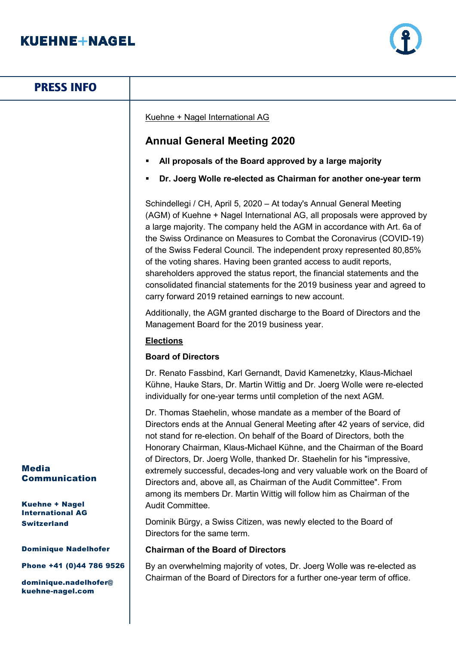# **KUEHNE+NAGEL**



| <b>PRESS INFO</b>                                                     |                                                                                                                                                                                                                                                                                                                                                                                                                                                                                                                                                                                                                                                                         |
|-----------------------------------------------------------------------|-------------------------------------------------------------------------------------------------------------------------------------------------------------------------------------------------------------------------------------------------------------------------------------------------------------------------------------------------------------------------------------------------------------------------------------------------------------------------------------------------------------------------------------------------------------------------------------------------------------------------------------------------------------------------|
|                                                                       | Kuehne + Nagel International AG                                                                                                                                                                                                                                                                                                                                                                                                                                                                                                                                                                                                                                         |
|                                                                       | <b>Annual General Meeting 2020</b>                                                                                                                                                                                                                                                                                                                                                                                                                                                                                                                                                                                                                                      |
|                                                                       | All proposals of the Board approved by a large majority                                                                                                                                                                                                                                                                                                                                                                                                                                                                                                                                                                                                                 |
|                                                                       | Dr. Joerg Wolle re-elected as Chairman for another one-year term                                                                                                                                                                                                                                                                                                                                                                                                                                                                                                                                                                                                        |
|                                                                       | Schindellegi / CH, April 5, 2020 - At today's Annual General Meeting<br>(AGM) of Kuehne + Nagel International AG, all proposals were approved by<br>a large majority. The company held the AGM in accordance with Art. 6a of<br>the Swiss Ordinance on Measures to Combat the Coronavirus (COVID-19)<br>of the Swiss Federal Council. The independent proxy represented 80,85%<br>of the voting shares. Having been granted access to audit reports,<br>shareholders approved the status report, the financial statements and the<br>consolidated financial statements for the 2019 business year and agreed to<br>carry forward 2019 retained earnings to new account. |
|                                                                       | Additionally, the AGM granted discharge to the Board of Directors and the<br>Management Board for the 2019 business year.                                                                                                                                                                                                                                                                                                                                                                                                                                                                                                                                               |
|                                                                       | <b>Elections</b>                                                                                                                                                                                                                                                                                                                                                                                                                                                                                                                                                                                                                                                        |
|                                                                       | <b>Board of Directors</b>                                                                                                                                                                                                                                                                                                                                                                                                                                                                                                                                                                                                                                               |
|                                                                       | Dr. Renato Fassbind, Karl Gernandt, David Kamenetzky, Klaus-Michael<br>Kühne, Hauke Stars, Dr. Martin Wittig and Dr. Joerg Wolle were re-elected<br>individually for one-year terms until completion of the next AGM.                                                                                                                                                                                                                                                                                                                                                                                                                                                   |
| <b>Media</b><br><b>Communication</b>                                  | Dr. Thomas Staehelin, whose mandate as a member of the Board of<br>Directors ends at the Annual General Meeting after 42 years of service, did<br>not stand for re-election. On behalf of the Board of Directors, both the<br>Honorary Chairman, Klaus-Michael Kühne, and the Chairman of the Board<br>of Directors, Dr. Joerg Wolle, thanked Dr. Staehelin for his "impressive,<br>extremely successful, decades-long and very valuable work on the Board of<br>Directors and, above all, as Chairman of the Audit Committee". From                                                                                                                                    |
| <b>Kuehne + Nagel</b>                                                 | among its members Dr. Martin Wittig will follow him as Chairman of the<br>Audit Committee.                                                                                                                                                                                                                                                                                                                                                                                                                                                                                                                                                                              |
| <b>International AG</b><br><b>Switzerland</b>                         | Dominik Bürgy, a Swiss Citizen, was newly elected to the Board of<br>Directors for the same term.                                                                                                                                                                                                                                                                                                                                                                                                                                                                                                                                                                       |
| <b>Dominique Nadelhofer</b>                                           | <b>Chairman of the Board of Directors</b>                                                                                                                                                                                                                                                                                                                                                                                                                                                                                                                                                                                                                               |
| Phone +41 (0)44 786 9526<br>dominique.nadelhofer@<br>kuehne-nagel.com | By an overwhelming majority of votes, Dr. Joerg Wolle was re-elected as<br>Chairman of the Board of Directors for a further one-year term of office.                                                                                                                                                                                                                                                                                                                                                                                                                                                                                                                    |
|                                                                       |                                                                                                                                                                                                                                                                                                                                                                                                                                                                                                                                                                                                                                                                         |